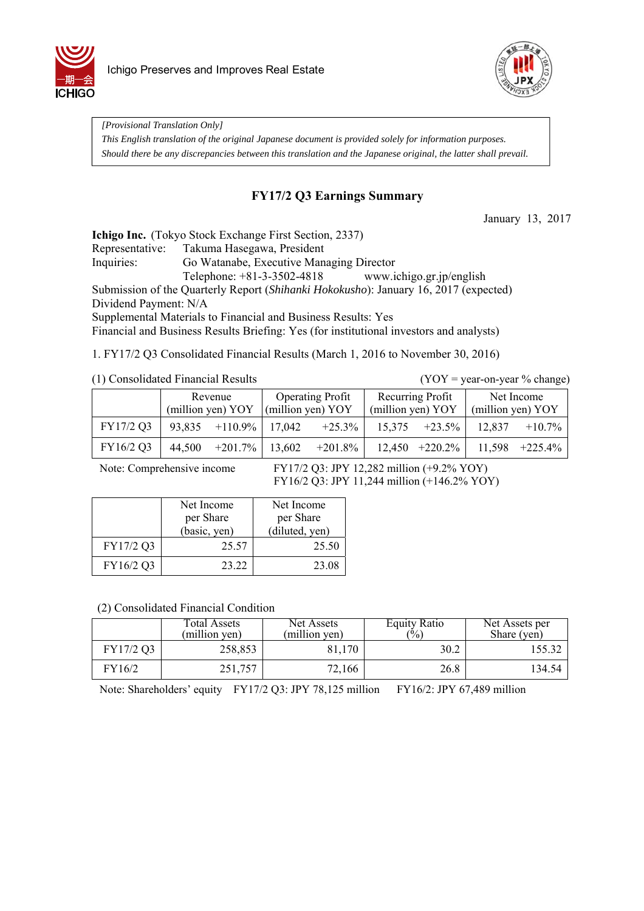



*[Provisional Translation Only] This English translation of the original Japanese document is provided solely for information purposes. Should there be any discrepancies between this translation and the Japanese original, the latter shall prevail.*

### **FY17/2 Q3 Earnings Summary**

January 13, 2017

**Ichigo Inc.** (Tokyo Stock Exchange First Section, 2337)

Representative: Takuma Hasegawa, President

Inquiries: Go Watanabe, Executive Managing Director

Telephone: +81-3-3502-4818 www.ichigo.gr.jp/english

Submission of the Quarterly Report (*Shihanki Hokokusho*): January 16, 2017 (expected)

Dividend Payment: N/A

Supplemental Materials to Financial and Business Results: Yes

Financial and Business Results Briefing: Yes (for institutional investors and analysts)

1. FY17/2 Q3 Consolidated Financial Results (March 1, 2016 to November 30, 2016)

|  | (1) Consolidated Financial Results |  |
|--|------------------------------------|--|
|--|------------------------------------|--|

 $(YOY = year-on-year % change)$ 

|           | Revenue<br>(million yen) YOY            | (million yen) YOY | <b>Operating Profit</b> | (million yen) YOY | Recurring Profit  | (million yen) YOY | Net Income       |
|-----------|-----------------------------------------|-------------------|-------------------------|-------------------|-------------------|-------------------|------------------|
| FY17/2 Q3 | $93,835$ +110.9% 17,042                 |                   | $+25.3\%$               |                   | $15,375 +23.5\%$  | 12,837            | $+10.7\%$        |
| FY16/2 Q3 | $44,500$ $+201.7\%$   13,602 $+201.8\%$ |                   |                         |                   | $12,450 +220.2\%$ |                   | $11,598$ +225.4% |

Note: Comprehensive income FY17/2 Q3: JPY 12,282 million (+9.2% YOY) FY16/2 Q3: JPY 11,244 million (+146.2% YOY)

|           | Net Income   | Net Income     |  |
|-----------|--------------|----------------|--|
|           | per Share    | per Share      |  |
|           | (basic, yen) | (diluted, yen) |  |
| FY17/2 Q3 | 25.57        | 25.50          |  |
| FY16/2 Q3 | 23.22        | 23.08          |  |

(2) Consolidated Financial Condition

|           | Total Assets<br>(million yen) | Net Assets<br>(million yen) | <b>Equity Ratio</b><br>$\frac{10}{6}$ | Net Assets per<br>Share (yen) |
|-----------|-------------------------------|-----------------------------|---------------------------------------|-------------------------------|
| FY17/2 Q3 | 258,853                       | 81,170                      | 30.2                                  | 55.32                         |
| FY16/2    | 251,757                       | 72,166                      | 26.8                                  | 134.54                        |

Note: Shareholders' equity FY17/2 Q3: JPY 78,125 million FY16/2: JPY 67,489 million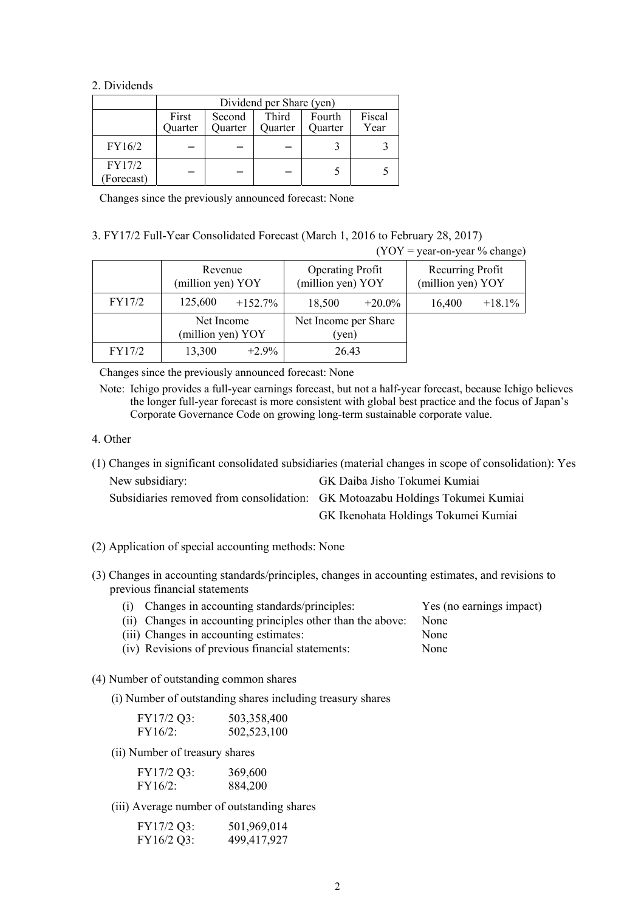#### 2. Dividends

|                     | Dividend per Share (yen)                                                                     |  |  |  |                |  |
|---------------------|----------------------------------------------------------------------------------------------|--|--|--|----------------|--|
|                     | Third<br>First<br>Fourth<br>Second<br>Quarter<br><b>Ouarter</b><br><b>Ouarter</b><br>Ouarter |  |  |  | Fiscal<br>Year |  |
| FY16/2              |                                                                                              |  |  |  |                |  |
| FY17/2<br>Forecast) |                                                                                              |  |  |  |                |  |

Changes since the previously announced forecast: None

#### 3. FY17/2 Full-Year Consolidated Forecast (March 1, 2016 to February 28, 2017)

 $(YOY = \text{year-on-year } \% \text{ change})$ 

|        | Revenue<br>(million yen) YOY    |            | <b>Operating Profit</b><br>(million yen) YOY |           | Recurring Profit<br>(million yen) YOY |           |
|--------|---------------------------------|------------|----------------------------------------------|-----------|---------------------------------------|-----------|
| FY17/2 | 125,600                         | $+152.7\%$ | 18,500                                       | $+20.0\%$ | 16,400                                | $+18.1\%$ |
|        | Net Income<br>(million yen) YOY |            | Net Income per Share<br>(yen)                |           |                                       |           |
| FY17/2 | 13,300                          | $+2.9\%$   | 26.43                                        |           |                                       |           |

Changes since the previously announced forecast: None

Note: Ichigo provides a full-year earnings forecast, but not a half-year forecast, because Ichigo believes the longer full-year forecast is more consistent with global best practice and the focus of Japan's Corporate Governance Code on growing long-term sustainable corporate value.

- 4. Other
- (1) Changes in significant consolidated subsidiaries (material changes in scope of consolidation): Yes New subsidiary: GK Daiba Jisho Tokumei Kumiai

| Subsidiaries removed from consolidation: GK Motoazabu Holdings Tokumei Kumiai |
|-------------------------------------------------------------------------------|
| GK Ikenohata Holdings Tokumei Kumiai                                          |

- (2) Application of special accounting methods: None
- (3) Changes in accounting standards/principles, changes in accounting estimates, and revisions to previous financial statements
	- (i) Changes in accounting standards/principles: Yes (no earnings impact)

| (ii) Changes in accounting principles other than the above: None |      |
|------------------------------------------------------------------|------|
| (iii) Changes in accounting estimates:                           | None |

- 
- (iv) Revisions of previous financial statements: None
- (4) Number of outstanding common shares

(i) Number of outstanding shares including treasury shares

| FY17/2 Q3: | 503,358,400 |
|------------|-------------|
| FY16/2:    | 502,523,100 |

(ii) Number of treasury shares

| FY17/2 Q3: | 369,600 |
|------------|---------|
| $FY16/2$ : | 884,200 |

(iii) Average number of outstanding shares

| FY17/2 Q3: | 501,969,014 |
|------------|-------------|
| FY16/2 Q3: | 499,417,927 |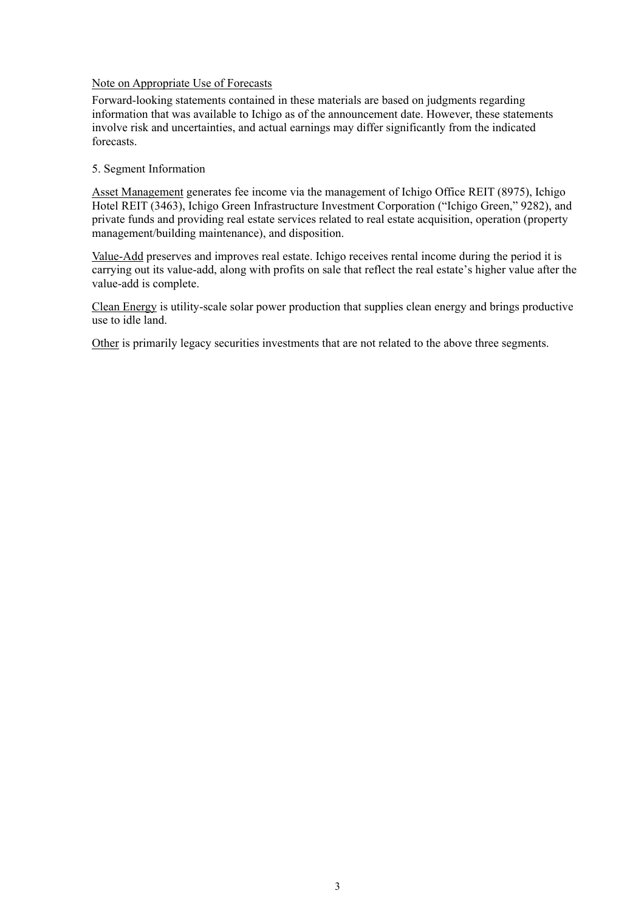#### Note on Appropriate Use of Forecasts

Forward-looking statements contained in these materials are based on judgments regarding information that was available to Ichigo as of the announcement date. However, these statements involve risk and uncertainties, and actual earnings may differ significantly from the indicated forecasts.

#### 5. Segment Information

Asset Management generates fee income via the management of Ichigo Office REIT (8975), Ichigo Hotel REIT (3463), Ichigo Green Infrastructure Investment Corporation ("Ichigo Green," 9282), and private funds and providing real estate services related to real estate acquisition, operation (property management/building maintenance), and disposition.

Value-Add preserves and improves real estate. Ichigo receives rental income during the period it is carrying out its value-add, along with profits on sale that reflect the real estate's higher value after the value-add is complete.

Clean Energy is utility-scale solar power production that supplies clean energy and brings productive use to idle land.

Other is primarily legacy securities investments that are not related to the above three segments.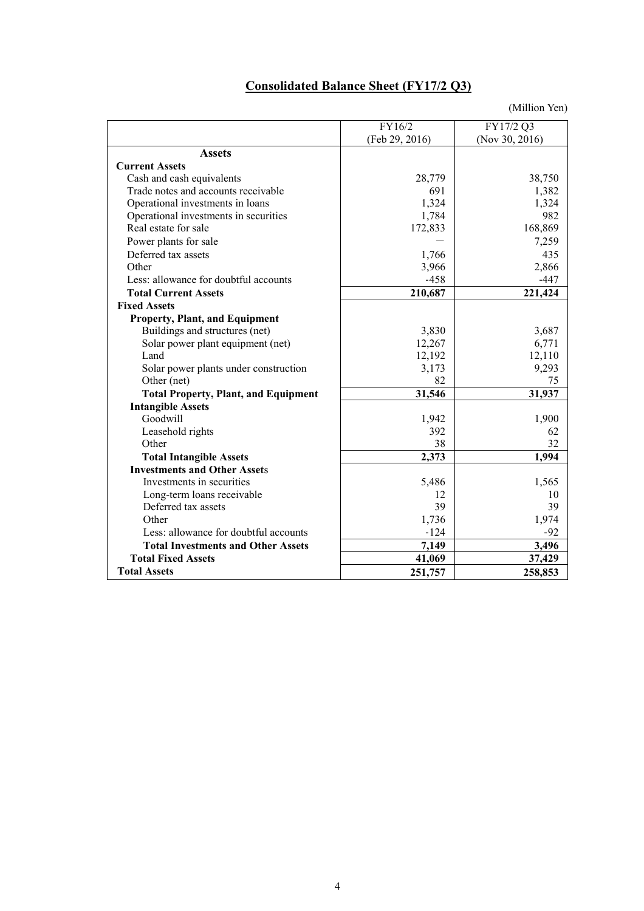# **Consolidated Balance Sheet (FY17/2 Q3)**

|                                             | FY16/2         | FY17/2 Q3      |
|---------------------------------------------|----------------|----------------|
|                                             | (Feb 29, 2016) | (Nov 30, 2016) |
| <b>Assets</b>                               |                |                |
| <b>Current Assets</b>                       |                |                |
| Cash and cash equivalents                   | 28,779         | 38,750         |
| Trade notes and accounts receivable         | 691            | 1,382          |
| Operational investments in loans            | 1,324          | 1,324          |
| Operational investments in securities       | 1,784          | 982            |
| Real estate for sale                        | 172,833        | 168,869        |
| Power plants for sale                       |                | 7,259          |
| Deferred tax assets                         | 1,766          | 435            |
| Other                                       | 3,966          | 2,866          |
| Less: allowance for doubtful accounts       | $-458$         | -447           |
| <b>Total Current Assets</b>                 | 210,687        | 221,424        |
| <b>Fixed Assets</b>                         |                |                |
| <b>Property, Plant, and Equipment</b>       |                |                |
| Buildings and structures (net)              | 3,830          | 3,687          |
| Solar power plant equipment (net)           | 12,267         | 6,771          |
| Land                                        | 12,192         | 12,110         |
| Solar power plants under construction       | 3,173          | 9,293          |
| Other (net)                                 | 82             | 75             |
| <b>Total Property, Plant, and Equipment</b> | 31,546         | 31,937         |
| <b>Intangible Assets</b>                    |                |                |
| Goodwill                                    | 1,942          | 1,900          |
| Leasehold rights                            | 392            | 62             |
| Other                                       | 38             | 32             |
| <b>Total Intangible Assets</b>              | 2,373          | 1,994          |
| <b>Investments and Other Assets</b>         |                |                |
| Investments in securities                   | 5,486          | 1,565          |
| Long-term loans receivable                  | 12             | 10             |
| Deferred tax assets                         | 39             | 39             |
| Other                                       | 1,736          | 1,974          |
| Less: allowance for doubtful accounts       | $-124$         | -92            |
| <b>Total Investments and Other Assets</b>   | 7,149          | 3,496          |
| <b>Total Fixed Assets</b>                   | 41,069         | 37,429         |
| <b>Total Assets</b>                         | 251,757        | 258,853        |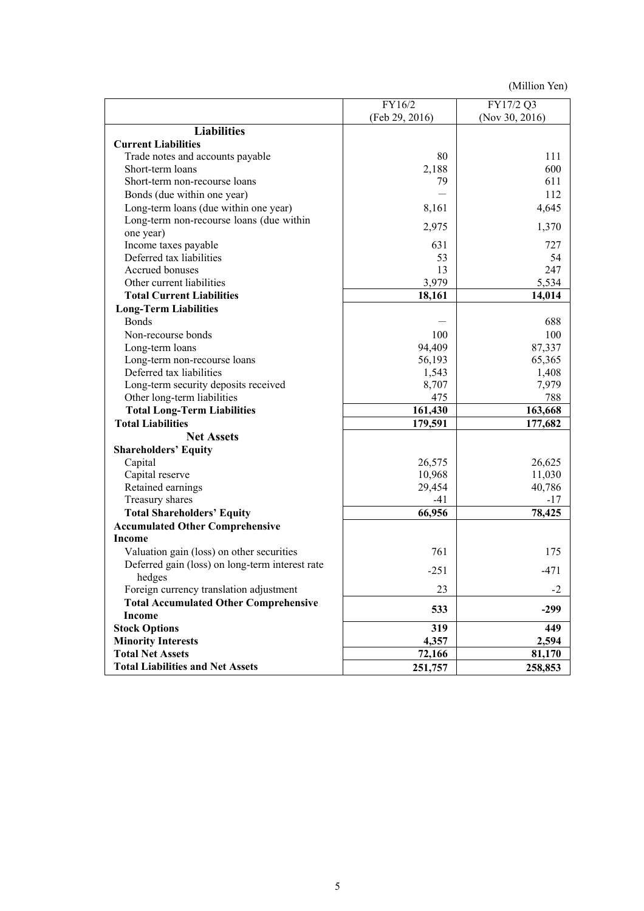|                                                 | FY16/2         | FY17/2 Q3      |
|-------------------------------------------------|----------------|----------------|
|                                                 | (Feb 29, 2016) | (Nov 30, 2016) |
| <b>Liabilities</b>                              |                |                |
| <b>Current Liabilities</b>                      |                |                |
| Trade notes and accounts payable                | 80             | 111            |
| Short-term loans                                | 2,188          | 600            |
| Short-term non-recourse loans                   | 79             | 611            |
| Bonds (due within one year)                     |                | 112            |
| Long-term loans (due within one year)           | 8,161          | 4,645          |
| Long-term non-recourse loans (due within        |                |                |
| one year)                                       | 2,975          | 1,370          |
| Income taxes payable                            | 631            | 727            |
| Deferred tax liabilities                        | 53             | 54             |
| Accrued bonuses                                 | 13             | 247            |
| Other current liabilities                       | 3,979          | 5,534          |
| <b>Total Current Liabilities</b>                | 18,161         | 14,014         |
| <b>Long-Term Liabilities</b>                    |                |                |
| <b>Bonds</b>                                    |                | 688            |
| Non-recourse bonds                              | 100            | 100            |
| Long-term loans                                 | 94,409         | 87,337         |
| Long-term non-recourse loans                    | 56,193         | 65,365         |
| Deferred tax liabilities                        | 1,543          | 1,408          |
| Long-term security deposits received            | 8,707          | 7,979          |
| Other long-term liabilities                     | 475            | 788            |
| <b>Total Long-Term Liabilities</b>              | 161,430        | 163,668        |
| <b>Total Liabilities</b>                        | 179,591        | 177,682        |
| <b>Net Assets</b>                               |                |                |
| <b>Shareholders' Equity</b>                     |                |                |
| Capital                                         | 26,575         | 26,625         |
| Capital reserve                                 | 10,968         | 11,030         |
| Retained earnings                               | 29,454         | 40,786         |
| Treasury shares                                 | $-41$          | $-17$          |
| <b>Total Shareholders' Equity</b>               | 66,956         | 78,425         |
| <b>Accumulated Other Comprehensive</b>          |                |                |
| Income                                          |                |                |
| Valuation gain (loss) on other securities       | 761            | 175            |
| Deferred gain (loss) on long-term interest rate | $-251$         |                |
| hedges                                          |                | $-471$         |
| Foreign currency translation adjustment         | 23             | $-2$           |
| <b>Total Accumulated Other Comprehensive</b>    | 533            | $-299$         |
| <b>Income</b>                                   |                |                |
| <b>Stock Options</b>                            | 319            | 449            |
| <b>Minority Interests</b>                       | 4,357          | 2,594          |
| <b>Total Net Assets</b>                         | 72,166         | 81,170         |
| <b>Total Liabilities and Net Assets</b>         | 251,757        | 258,853        |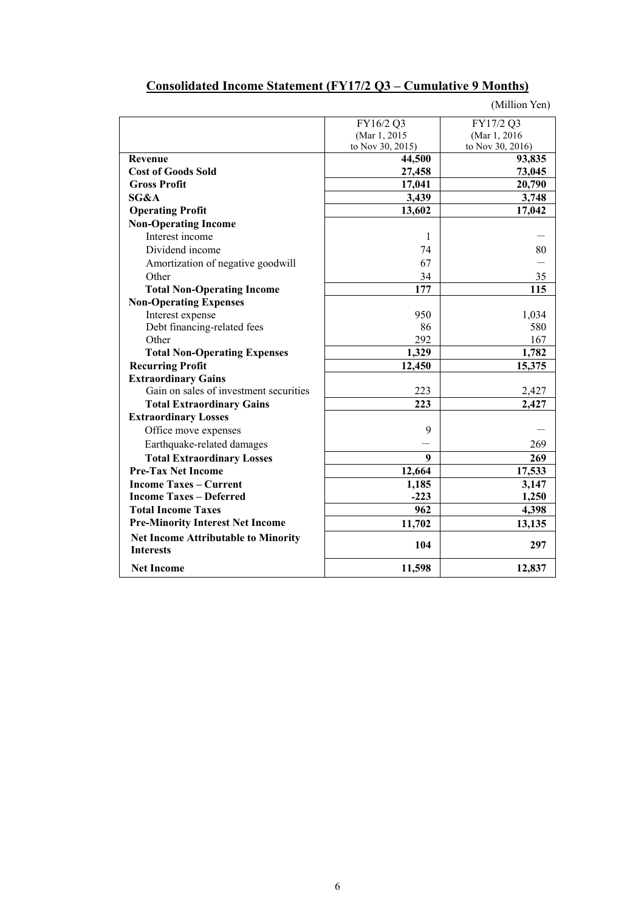## **Consolidated Income Statement (FY17/2 Q3 – Cumulative 9 Months)**

|                                                                | FY16/2 Q3        | FY17/2 Q3        |
|----------------------------------------------------------------|------------------|------------------|
|                                                                | (Mar 1, 2015     | (Mar 1, 2016)    |
|                                                                | to Nov 30, 2015) | to Nov 30, 2016) |
| Revenue                                                        | 44,500           | 93,835           |
| <b>Cost of Goods Sold</b>                                      | 27,458           | 73,045           |
| <b>Gross Profit</b>                                            | 17,041           | 20,790           |
| SG&A                                                           | 3,439            | 3,748            |
| <b>Operating Profit</b>                                        | 13,602           | 17,042           |
| <b>Non-Operating Income</b>                                    |                  |                  |
| Interest income                                                | 1                |                  |
| Dividend income                                                | 74               | 80               |
| Amortization of negative goodwill                              | 67               |                  |
| Other                                                          | 34               | 35               |
| <b>Total Non-Operating Income</b>                              | 177              | 115              |
| <b>Non-Operating Expenses</b>                                  |                  |                  |
| Interest expense                                               | 950              | 1,034            |
| Debt financing-related fees                                    | 86               | 580              |
| Other                                                          | 292              | 167              |
| <b>Total Non-Operating Expenses</b>                            | 1,329            | 1,782            |
| <b>Recurring Profit</b>                                        | 12,450           | 15,375           |
| <b>Extraordinary Gains</b>                                     |                  |                  |
| Gain on sales of investment securities                         | 223              | 2,427            |
| <b>Total Extraordinary Gains</b>                               | 223              | 2,427            |
| <b>Extraordinary Losses</b>                                    |                  |                  |
| Office move expenses                                           | 9                |                  |
| Earthquake-related damages                                     |                  | 269              |
| <b>Total Extraordinary Losses</b>                              | 9                | 269              |
| <b>Pre-Tax Net Income</b>                                      | 12,664           | 17,533           |
| <b>Income Taxes – Current</b>                                  | 1,185            | 3,147            |
| <b>Income Taxes - Deferred</b>                                 | $-223$           | 1,250            |
| <b>Total Income Taxes</b>                                      | 962              | 4,398            |
| <b>Pre-Minority Interest Net Income</b>                        | 11,702           | 13,135           |
| <b>Net Income Attributable to Minority</b><br><b>Interests</b> | 104              | 297              |
| <b>Net Income</b>                                              | 11,598           | 12,837           |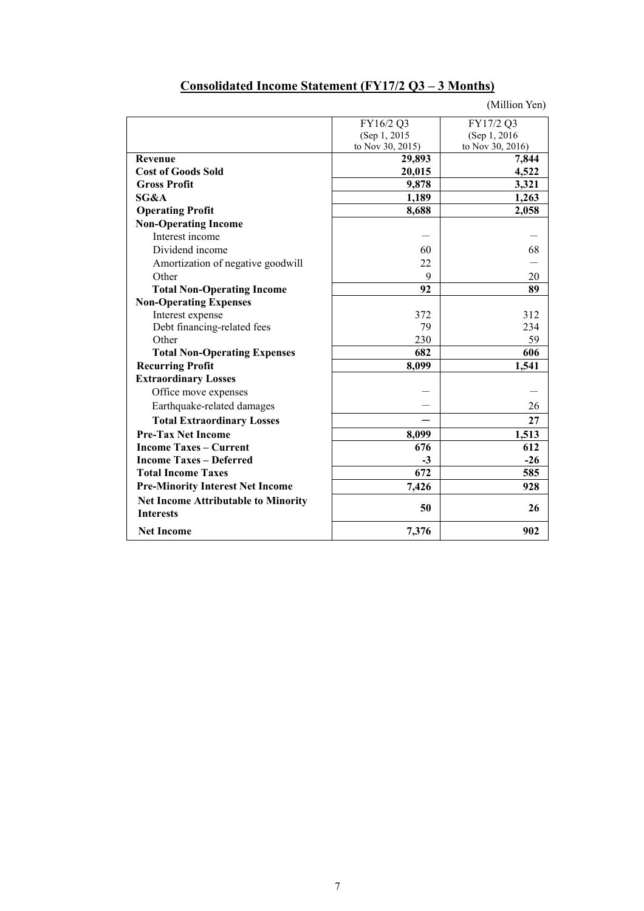## **Consolidated Income Statement (FY17/2 Q3 – 3 Months)**

|                                                                | FY16/2 Q3        | FY17/2 Q3        |
|----------------------------------------------------------------|------------------|------------------|
|                                                                | (Sep 1, 2015)    | (Sep 1, 2016)    |
|                                                                | to Nov 30, 2015) | to Nov 30, 2016) |
| <b>Revenue</b>                                                 | 29,893           | 7,844            |
| <b>Cost of Goods Sold</b>                                      | 20,015           | 4,522            |
| <b>Gross Profit</b>                                            | 9,878            | 3,321            |
| SG&A                                                           | 1,189            | 1,263            |
| <b>Operating Profit</b>                                        | 8,688            | 2,058            |
| <b>Non-Operating Income</b>                                    |                  |                  |
| Interest income                                                |                  |                  |
| Dividend income                                                | 60               | 68               |
| Amortization of negative goodwill                              | 22               |                  |
| Other                                                          | 9                | 20               |
| <b>Total Non-Operating Income</b>                              | 92               | 89               |
| <b>Non-Operating Expenses</b>                                  |                  |                  |
| Interest expense                                               | 372              | 312              |
| Debt financing-related fees                                    | 79               | 234              |
| Other                                                          | 230              | 59               |
| <b>Total Non-Operating Expenses</b>                            | 682              | 606              |
| <b>Recurring Profit</b>                                        | 8,099            | 1,541            |
| <b>Extraordinary Losses</b>                                    |                  |                  |
| Office move expenses                                           |                  |                  |
| Earthquake-related damages                                     |                  | 26               |
| <b>Total Extraordinary Losses</b>                              |                  | 27               |
| <b>Pre-Tax Net Income</b>                                      | 8,099            | 1,513            |
| <b>Income Taxes – Current</b>                                  | 676              | 612              |
| <b>Income Taxes - Deferred</b>                                 | $-3$             | $-26$            |
| <b>Total Income Taxes</b>                                      | 672              | 585              |
| <b>Pre-Minority Interest Net Income</b>                        | 7,426            | 928              |
| <b>Net Income Attributable to Minority</b><br><b>Interests</b> | 50               | 26               |
| <b>Net Income</b>                                              | 7,376            | 902              |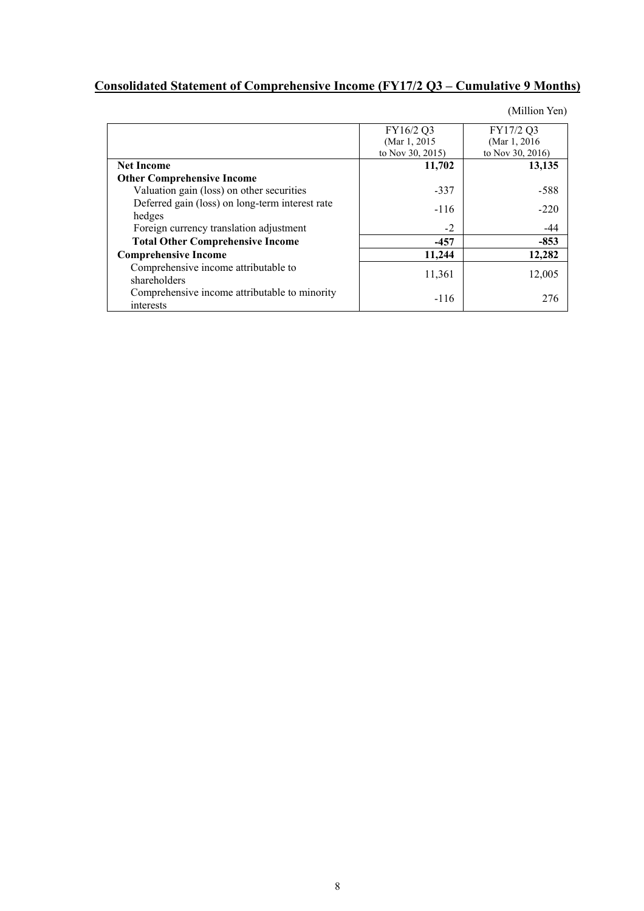## **Consolidated Statement of Comprehensive Income (FY17/2 Q3 – Cumulative 9 Months)**

|                                                 | FY16/2 Q3        | FY17/2 Q3        |
|-------------------------------------------------|------------------|------------------|
|                                                 | (Mar 1, 2015)    | (Mar 1, 2016)    |
|                                                 | to Nov 30, 2015) | to Nov 30, 2016) |
| <b>Net Income</b>                               | 11,702           | 13,135           |
| <b>Other Comprehensive Income</b>               |                  |                  |
| Valuation gain (loss) on other securities       | $-337$           | -588             |
| Deferred gain (loss) on long-term interest rate | $-116$           | $-220$           |
| hedges                                          |                  |                  |
| Foreign currency translation adjustment         | $-2$             | -44              |
| <b>Total Other Comprehensive Income</b>         | $-457$           | $-853$           |
| <b>Comprehensive Income</b>                     | 11,244           | 12,282           |
| Comprehensive income attributable to            |                  |                  |
| shareholders                                    | 11,361           | 12,005           |
| Comprehensive income attributable to minority   |                  | 276              |
| interests                                       | $-116$           |                  |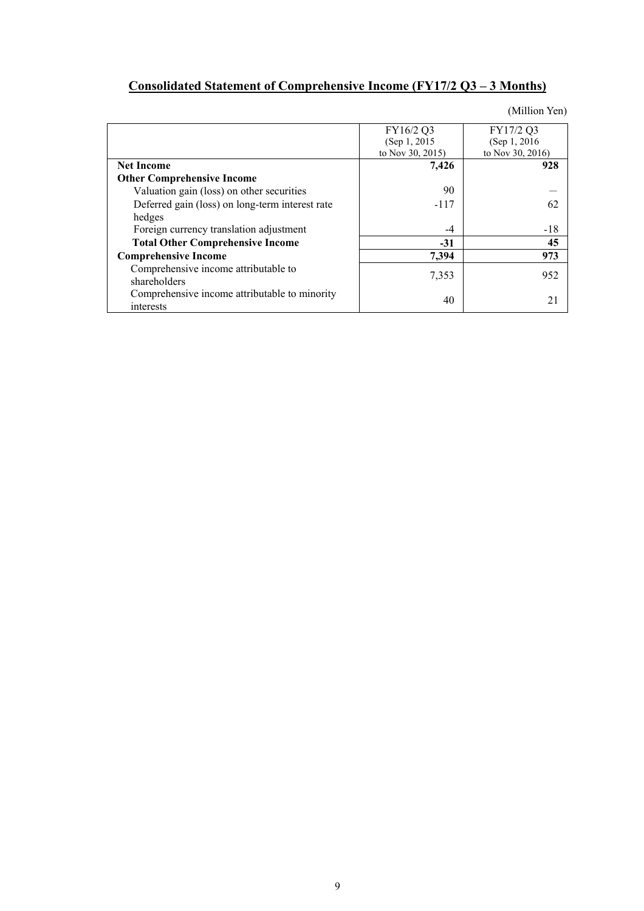## **Consolidated Statement of Comprehensive Income (FY17/2 Q3 – 3 Months)**

|                                                            | FY16/2 Q3        | FY17/2 Q3        |
|------------------------------------------------------------|------------------|------------------|
|                                                            | (Sep 1, 2015)    | (Sep 1, 2016)    |
|                                                            | to Nov 30, 2015) | to Nov 30, 2016) |
| <b>Net Income</b>                                          | 7,426            | 928              |
| <b>Other Comprehensive Income</b>                          |                  |                  |
| Valuation gain (loss) on other securities                  | 90               |                  |
| Deferred gain (loss) on long-term interest rate            | $-117$           | 62               |
| hedges                                                     |                  |                  |
| Foreign currency translation adjustment                    | $-4$             | $-18$            |
| <b>Total Other Comprehensive Income</b>                    | $-31$            | 45               |
| <b>Comprehensive Income</b>                                | 7,394            | 973              |
| Comprehensive income attributable to<br>shareholders       | 7,353            | 952              |
| Comprehensive income attributable to minority<br>interests | 40               | 21               |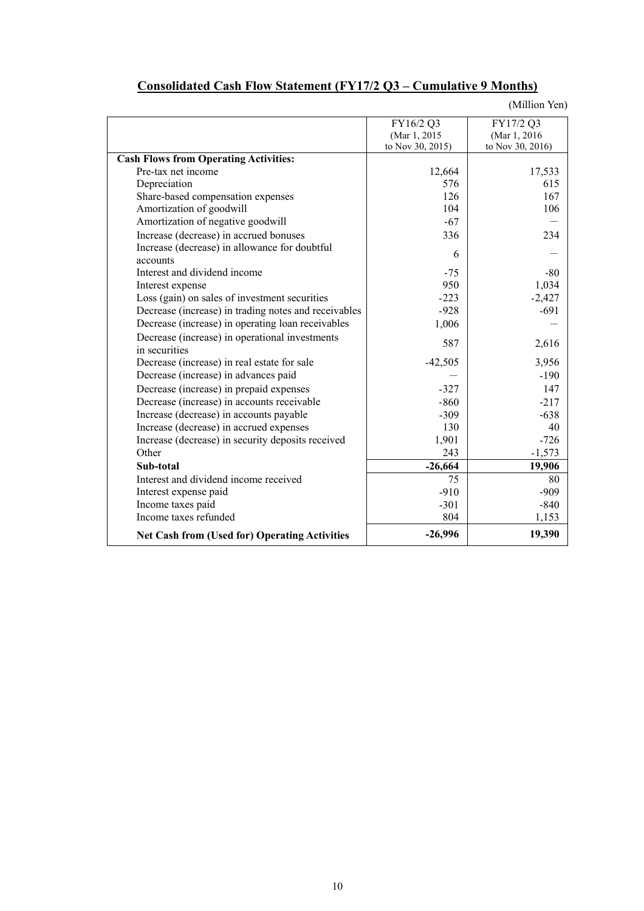|                                                           | FY16/2 Q3        | FY17/2 Q3        |
|-----------------------------------------------------------|------------------|------------------|
|                                                           | (Mar 1, 2015     | (Mar 1, 2016)    |
|                                                           | to Nov 30, 2015) | to Nov 30, 2016) |
| <b>Cash Flows from Operating Activities:</b>              |                  |                  |
| Pre-tax net income                                        | 12,664           | 17,533           |
| Depreciation                                              | 576              | 615              |
| Share-based compensation expenses                         | 126              | 167              |
| Amortization of goodwill                                  | 104              | 106              |
| Amortization of negative goodwill                         | $-67$            |                  |
| Increase (decrease) in accrued bonuses                    | 336              | 234              |
| Increase (decrease) in allowance for doubtful<br>accounts | 6                |                  |
| Interest and dividend income                              | $-75$            | $-80$            |
| Interest expense                                          | 950              | 1,034            |
| Loss (gain) on sales of investment securities             | $-223$           | $-2,427$         |
| Decrease (increase) in trading notes and receivables      | $-928$           | $-691$           |
| Decrease (increase) in operating loan receivables         | 1,006            |                  |
| Decrease (increase) in operational investments            |                  |                  |
| in securities                                             | 587              | 2,616            |
| Decrease (increase) in real estate for sale               | $-42,505$        | 3,956            |
| Decrease (increase) in advances paid                      |                  | $-190$           |
| Decrease (increase) in prepaid expenses                   | $-327$           | 147              |
| Decrease (increase) in accounts receivable                | $-860$           | $-217$           |
| Increase (decrease) in accounts payable                   | $-309$           | $-638$           |
| Increase (decrease) in accrued expenses                   | 130              | 40               |
| Increase (decrease) in security deposits received         | 1,901            | $-726$           |
| Other                                                     | 243              | $-1,573$         |
| Sub-total                                                 | $-26,664$        | 19,906           |
| Interest and dividend income received                     | 75               | 80               |
| Interest expense paid                                     | $-910$           | $-909$           |
| Income taxes paid                                         | $-301$           | $-840$           |
| Income taxes refunded                                     | 804              | 1,153            |
| <b>Net Cash from (Used for) Operating Activities</b>      | $-26,996$        | 19,390           |

## **Consolidated Cash Flow Statement (FY17/2 Q3 – Cumulative 9 Months)**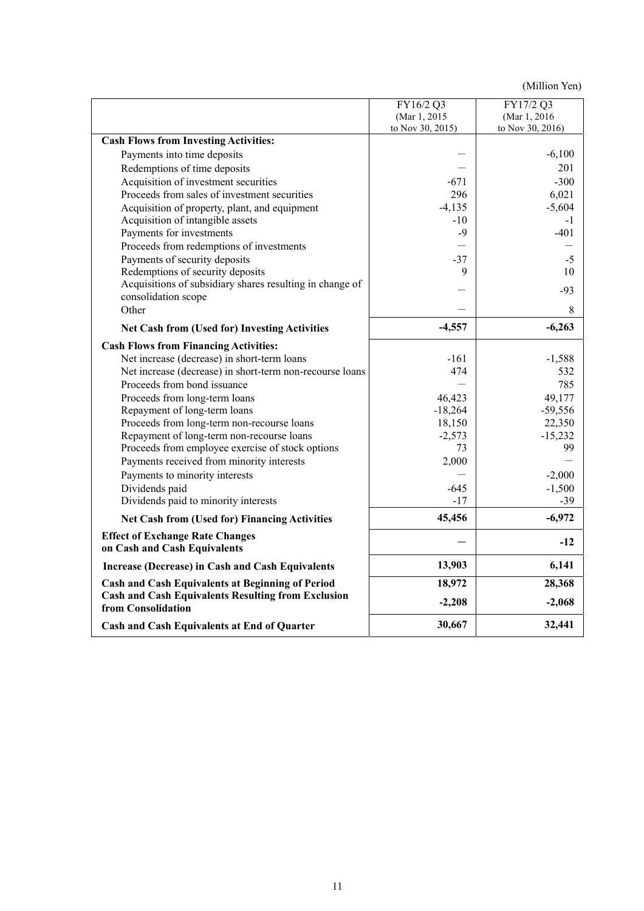|                                                                                 | FY16/2 Q3        | FY17/2 Q3        |
|---------------------------------------------------------------------------------|------------------|------------------|
|                                                                                 | (Mar 1, 2015     | (Mar 1, 2016)    |
|                                                                                 | to Nov 30, 2015) | to Nov 30, 2016) |
| <b>Cash Flows from Investing Activities:</b>                                    |                  |                  |
| Payments into time deposits                                                     |                  | $-6,100$         |
| Redemptions of time deposits                                                    |                  | 201              |
| Acquisition of investment securities                                            | $-671$           | $-300$           |
| Proceeds from sales of investment securities                                    | 296              | 6,021            |
| Acquisition of property, plant, and equipment                                   | $-4,135$         | $-5,604$         |
| Acquisition of intangible assets                                                | $-10$            | $-1$             |
| Payments for investments                                                        | $-9$             | -401             |
| Proceeds from redemptions of investments                                        |                  |                  |
| Payments of security deposits                                                   | $-37$            | $-5$             |
| Redemptions of security deposits                                                | 9                | 10               |
| Acquisitions of subsidiary shares resulting in change of                        |                  | -93              |
| consolidation scope                                                             |                  |                  |
| Other                                                                           |                  | 8                |
| <b>Net Cash from (Used for) Investing Activities</b>                            | $-4,557$         | $-6,263$         |
| <b>Cash Flows from Financing Activities:</b>                                    |                  |                  |
| Net increase (decrease) in short-term loans                                     | -161             | $-1,588$         |
| Net increase (decrease) in short-term non-recourse loans                        | 474              | 532              |
| Proceeds from bond issuance                                                     |                  | 785              |
| Proceeds from long-term loans                                                   | 46,423           | 49,177           |
| Repayment of long-term loans                                                    | $-18,264$        | $-59,556$        |
| Proceeds from long-term non-recourse loans                                      | 18,150           | 22,350           |
| Repayment of long-term non-recourse loans                                       | $-2,573$         | $-15,232$        |
| Proceeds from employee exercise of stock options                                | 73               | 99               |
| Payments received from minority interests                                       | 2,000            |                  |
| Payments to minority interests                                                  |                  | $-2,000$         |
| Dividends paid                                                                  | -645             | $-1,500$         |
| Dividends paid to minority interests                                            | $-17$            | $-39$            |
| <b>Net Cash from (Used for) Financing Activities</b>                            | 45,456           | $-6,972$         |
| <b>Effect of Exchange Rate Changes</b>                                          |                  |                  |
| on Cash and Cash Equivalents                                                    |                  | $-12$            |
| <b>Increase (Decrease) in Cash and Cash Equivalents</b>                         | 13,903           | 6,141            |
| <b>Cash and Cash Equivalents at Beginning of Period</b>                         | 18,972           | 28,368           |
| <b>Cash and Cash Equivalents Resulting from Exclusion</b><br>from Consolidation | $-2,208$         | $-2,068$         |
| Cash and Cash Equivalents at End of Quarter                                     | 30,667           | 32,441           |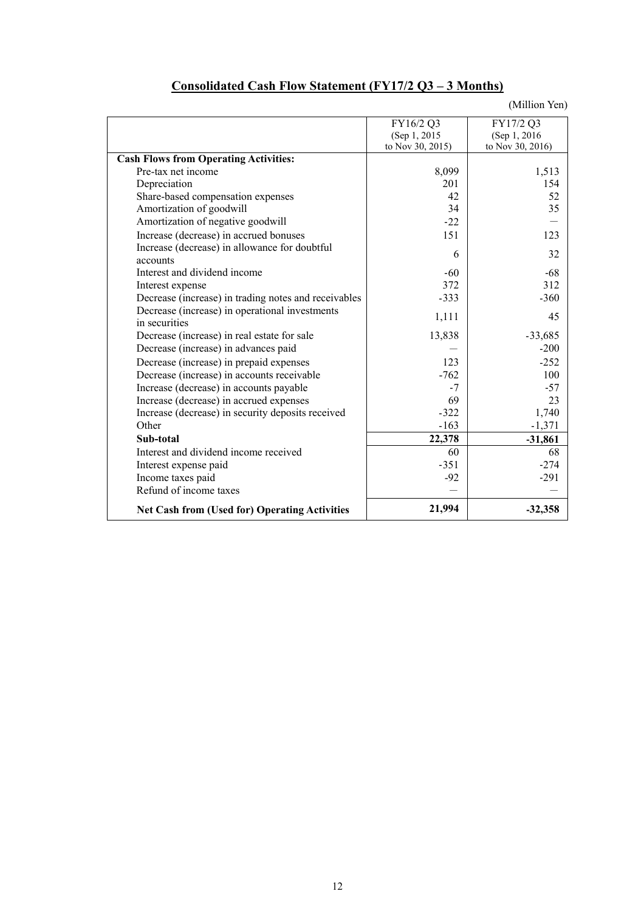|                                                      | FY16/2 Q3        | FY17/2 Q3        |
|------------------------------------------------------|------------------|------------------|
|                                                      | (Sep 1, 2015)    | (Sep 1, 2016)    |
|                                                      | to Nov 30, 2015) | to Nov 30, 2016) |
| <b>Cash Flows from Operating Activities:</b>         |                  |                  |
| Pre-tax net income                                   | 8,099            | 1,513            |
| Depreciation                                         | 201              | 154              |
| Share-based compensation expenses                    | 42               | 52               |
| Amortization of goodwill                             | 34               | 35               |
| Amortization of negative goodwill                    | $-22$            |                  |
| Increase (decrease) in accrued bonuses               | 151              | 123              |
| Increase (decrease) in allowance for doubtful        | 6                | 32               |
| accounts                                             |                  |                  |
| Interest and dividend income                         | $-60$            | $-68$            |
| Interest expense                                     | 372              | 312              |
| Decrease (increase) in trading notes and receivables | $-333$           | $-360$           |
| Decrease (increase) in operational investments       | 1,111            | 45               |
| in securities                                        |                  |                  |
| Decrease (increase) in real estate for sale          | 13,838           | $-33,685$        |
| Decrease (increase) in advances paid                 |                  | $-200$           |
| Decrease (increase) in prepaid expenses              | 123              | $-252$           |
| Decrease (increase) in accounts receivable           | $-762$           | 100              |
| Increase (decrease) in accounts payable              | $-7$             | $-57$            |
| Increase (decrease) in accrued expenses              | 69               | 23               |
| Increase (decrease) in security deposits received    | $-322$           | 1,740            |
| Other                                                | $-163$           | $-1,371$         |
| Sub-total                                            | 22,378           | $-31,861$        |
| Interest and dividend income received                | 60               | 68               |
| Interest expense paid                                | $-351$           | $-274$           |
| Income taxes paid                                    | $-92$            | $-291$           |
| Refund of income taxes                               |                  |                  |
| <b>Net Cash from (Used for) Operating Activities</b> | 21,994           | $-32,358$        |

## **Consolidated Cash Flow Statement (FY17/2 Q3 – 3 Months)**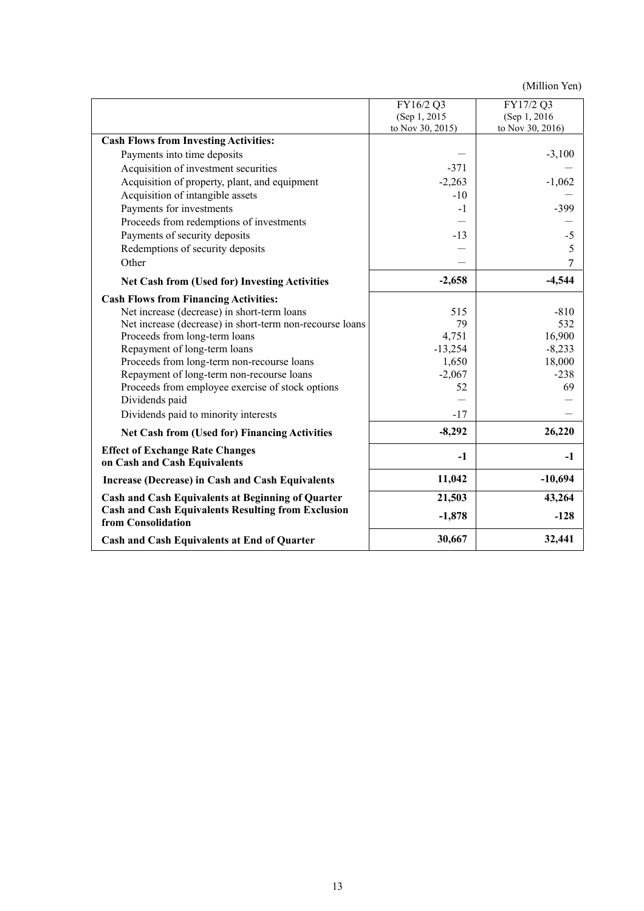|                                                                                 | FY16/2 Q3<br>(Sep 1, 2015) | FY17/2 Q3<br>(Sep 1, 2016) |
|---------------------------------------------------------------------------------|----------------------------|----------------------------|
|                                                                                 | to Nov 30, 2015)           | to Nov 30, 2016)           |
| <b>Cash Flows from Investing Activities:</b>                                    |                            |                            |
| Payments into time deposits                                                     |                            | $-3,100$                   |
| Acquisition of investment securities                                            | $-371$                     |                            |
| Acquisition of property, plant, and equipment                                   | $-2,263$                   | $-1,062$                   |
| Acquisition of intangible assets                                                | $-10$                      |                            |
| Payments for investments                                                        | $-1$                       | $-399$                     |
| Proceeds from redemptions of investments                                        |                            |                            |
| Payments of security deposits                                                   | $-13$                      | $-5$                       |
| Redemptions of security deposits                                                |                            | 5                          |
| Other                                                                           |                            | 7                          |
| <b>Net Cash from (Used for) Investing Activities</b>                            | $-2,658$                   | $-4,544$                   |
| <b>Cash Flows from Financing Activities:</b>                                    |                            |                            |
| Net increase (decrease) in short-term loans                                     | 515                        | $-810$                     |
| Net increase (decrease) in short-term non-recourse loans                        | 79                         | 532                        |
| Proceeds from long-term loans                                                   | 4,751                      | 16,900                     |
| Repayment of long-term loans                                                    | $-13,254$                  | $-8,233$                   |
| Proceeds from long-term non-recourse loans                                      | 1,650                      | 18,000                     |
| Repayment of long-term non-recourse loans                                       | $-2,067$                   | $-238$                     |
| Proceeds from employee exercise of stock options                                | 52                         | 69                         |
| Dividends paid                                                                  |                            |                            |
| Dividends paid to minority interests                                            | $-17$                      |                            |
| Net Cash from (Used for) Financing Activities                                   | $-8,292$                   | 26,220                     |
| <b>Effect of Exchange Rate Changes</b><br>on Cash and Cash Equivalents          | $-1$                       | $-1$                       |
| <b>Increase (Decrease) in Cash and Cash Equivalents</b>                         | 11,042                     | $-10,694$                  |
| <b>Cash and Cash Equivalents at Beginning of Quarter</b>                        | 21,503                     | 43,264                     |
| <b>Cash and Cash Equivalents Resulting from Exclusion</b><br>from Consolidation | $-1,878$                   | $-128$                     |
| Cash and Cash Equivalents at End of Quarter                                     | 30,667                     | 32,441                     |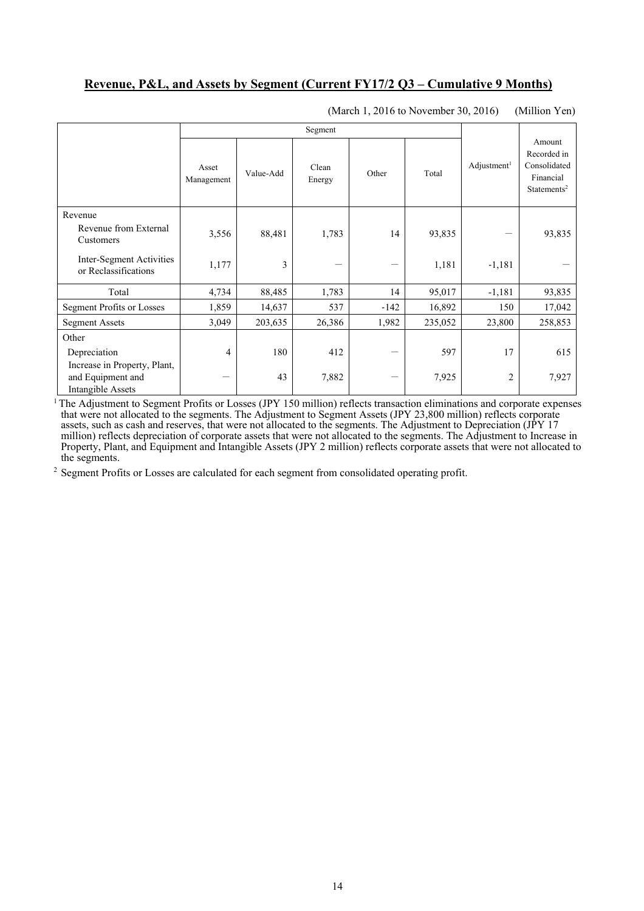## **Revenue, P&L, and Assets by Segment (Current FY17/2 Q3 – Cumulative 9 Months)**

|                                                                        |                     | Segment   |                 |                                |         |                       |                                                                               |
|------------------------------------------------------------------------|---------------------|-----------|-----------------|--------------------------------|---------|-----------------------|-------------------------------------------------------------------------------|
|                                                                        | Asset<br>Management | Value-Add | Clean<br>Energy | Other                          | Total   | $\text{Adjustment}^1$ | Amount<br>Recorded in<br>Consolidated<br>Financial<br>Statements <sup>2</sup> |
| Revenue                                                                |                     |           |                 |                                |         |                       |                                                                               |
| Revenue from External<br>Customers                                     | 3,556               | 88,481    | 1,783           | 14                             | 93,835  |                       | 93,835                                                                        |
| Inter-Segment Activities<br>or Reclassifications                       | 1,177               | 3         |                 | $\qquad \qquad \longleftarrow$ | 1,181   | $-1,181$              |                                                                               |
| Total                                                                  | 4,734               | 88,485    | 1,783           | 14                             | 95,017  | $-1,181$              | 93,835                                                                        |
| Segment Profits or Losses                                              | 1,859               | 14,637    | 537             | -142                           | 16,892  | 150                   | 17,042                                                                        |
| <b>Segment Assets</b>                                                  | 3,049               | 203,635   | 26,386          | 1,982                          | 235,052 | 23,800                | 258,853                                                                       |
| Other                                                                  |                     |           |                 |                                |         |                       |                                                                               |
| Depreciation                                                           | 4                   | 180       | 412             | -                              | 597     | 17                    | 615                                                                           |
| Increase in Property, Plant,<br>and Equipment and<br>Intangible Assets |                     | 43        | 7,882           |                                | 7,925   | 2                     | 7,927                                                                         |

(March 1, 2016 to November 30, 2016) (Million Yen)

 $1$  The Adjustment to Segment Profits or Losses (JPY 150 million) reflects transaction eliminations and corporate expenses that were not allocated to the segments. The Adjustment to Segment Assets (JPY 23,800 million) reflects corporate assets, such as cash and reserves, that were not allocated to the segments. The Adjustment to Depreciation (JPY 17 million) reflects depreciation of corporate assets that were not allocated to the segments. The Adjustment to Increase in Property, Plant, and Equipment and Intangible Assets (JPY 2 million) reflects corporate assets that were not allocated to the segments.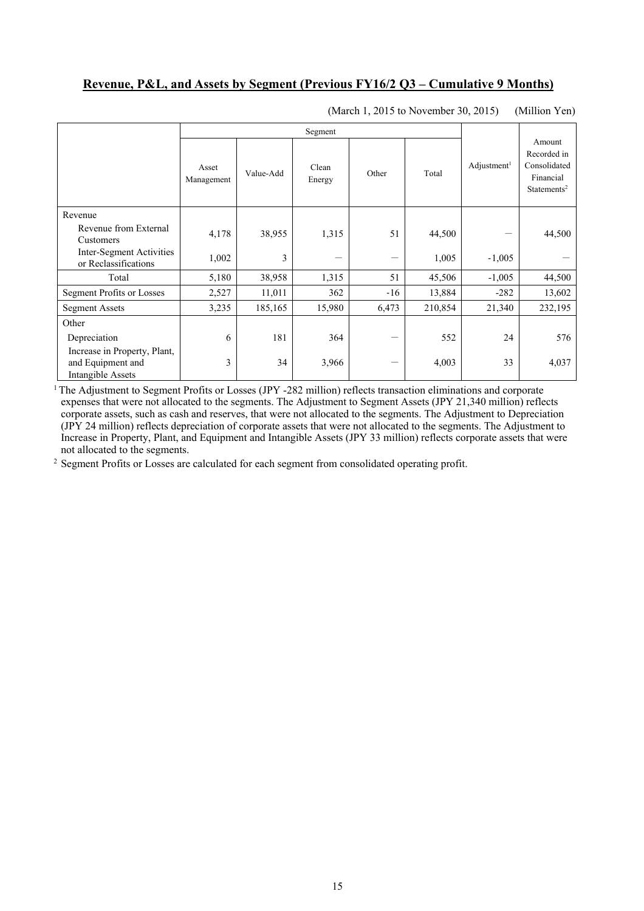#### **Revenue, P&L, and Assets by Segment (Previous FY16/2 Q3 – Cumulative 9 Months)**

|                                                                        |                     | Segment   |                 |       |         |                       |                                                                               |
|------------------------------------------------------------------------|---------------------|-----------|-----------------|-------|---------|-----------------------|-------------------------------------------------------------------------------|
|                                                                        | Asset<br>Management | Value-Add | Clean<br>Energy | Other | Total   | $\text{Adjustment}^1$ | Amount<br>Recorded in<br>Consolidated<br>Financial<br>Statements <sup>2</sup> |
| Revenue                                                                |                     |           |                 |       |         |                       |                                                                               |
| Revenue from External<br>Customers                                     | 4,178               | 38,955    | 1,315           | 51    | 44,500  |                       | 44,500                                                                        |
| Inter-Segment Activities<br>or Reclassifications                       | 1,002               | 3         |                 |       | 1,005   | $-1,005$              |                                                                               |
| Total                                                                  | 5,180               | 38,958    | 1,315           | 51    | 45,506  | $-1,005$              | 44,500                                                                        |
| Segment Profits or Losses                                              | 2,527               | 11,011    | 362             | $-16$ | 13,884  | $-282$                | 13,602                                                                        |
| <b>Segment Assets</b>                                                  | 3,235               | 185,165   | 15,980          | 6,473 | 210,854 | 21,340                | 232,195                                                                       |
| Other                                                                  |                     |           |                 |       |         |                       |                                                                               |
| Depreciation                                                           | 6                   | 181       | 364             |       | 552     | 24                    | 576                                                                           |
| Increase in Property, Plant,<br>and Equipment and<br>Intangible Assets | 3                   | 34        | 3,966           |       | 4,003   | 33                    | 4,037                                                                         |

(March 1, 2015 to November 30, 2015) (Million Yen)

<sup>1</sup> The Adjustment to Segment Profits or Losses (JPY -282 million) reflects transaction eliminations and corporate expenses that were not allocated to the segments. The Adjustment to Segment Assets (JPY 21,340 million) reflects corporate assets, such as cash and reserves, that were not allocated to the segments. The Adjustment to Depreciation (JPY 24 million) reflects depreciation of corporate assets that were not allocated to the segments. The Adjustment to Increase in Property, Plant, and Equipment and Intangible Assets (JPY 33 million) reflects corporate assets that were not allocated to the segments.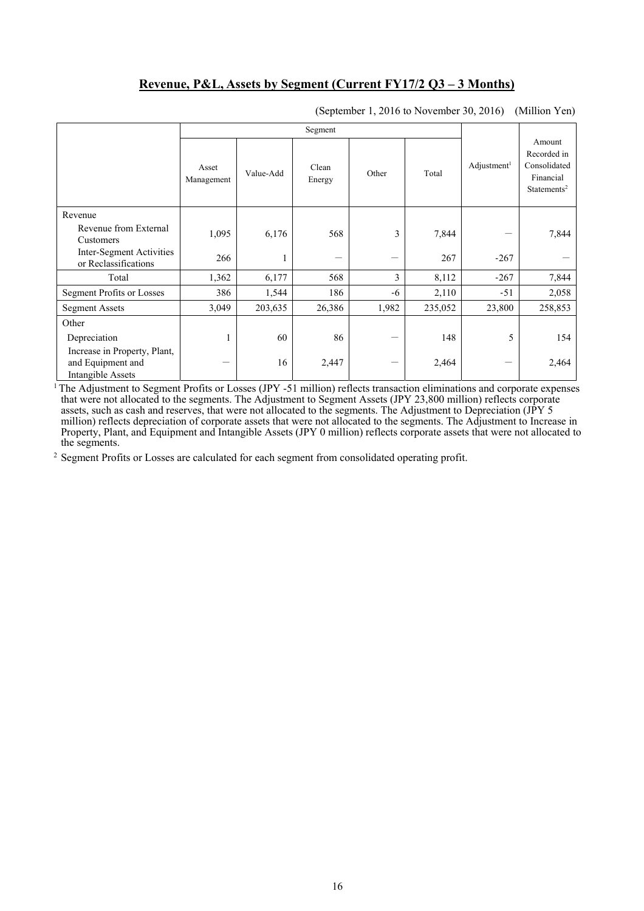### **Revenue, P&L, Assets by Segment (Current FY17/2 Q3 – 3 Months)**

|                                                                               | Segment             |           |                 |       |         |                         |                                                                               |
|-------------------------------------------------------------------------------|---------------------|-----------|-----------------|-------|---------|-------------------------|-------------------------------------------------------------------------------|
|                                                                               | Asset<br>Management | Value-Add | Clean<br>Energy | Other | Total   | Adjustment <sup>1</sup> | Amount<br>Recorded in<br>Consolidated<br>Financial<br>Statements <sup>2</sup> |
| Revenue                                                                       |                     |           |                 |       |         |                         |                                                                               |
| Revenue from External<br>Customers                                            | 1,095               | 6,176     | 568             | 3     | 7,844   |                         | 7,844                                                                         |
| Inter-Segment Activities<br>or Reclassifications                              | 266                 | 1         | —               |       | 267     | $-267$                  |                                                                               |
| Total                                                                         | 1,362               | 6,177     | 568             | 3     | 8,112   | $-267$                  | 7,844                                                                         |
| <b>Segment Profits or Losses</b>                                              | 386                 | 1,544     | 186             | -6    | 2,110   | $-51$                   | 2,058                                                                         |
| <b>Segment Assets</b>                                                         | 3,049               | 203,635   | 26,386          | 1,982 | 235,052 | 23,800                  | 258,853                                                                       |
| Other                                                                         |                     |           |                 |       |         |                         |                                                                               |
| Depreciation                                                                  |                     | 60        | 86              |       | 148     | 5                       | 154                                                                           |
| Increase in Property, Plant,<br>and Equipment and<br><b>Intangible Assets</b> |                     | 16        | 2,447           |       | 2,464   |                         | 2,464                                                                         |

(September 1, 2016 to November 30, 2016) (Million Yen)

<sup>1</sup> The Adjustment to Segment Profits or Losses (JPY -51 million) reflects transaction eliminations and corporate expenses that were not allocated to the segments. The Adjustment to Segment Assets (JPY 23,800 million) reflects corporate assets, such as cash and reserves, that were not allocated to the segments. The Adjustment to Depreciation (JPY 5 million) reflects depreciation of corporate assets that were not allocated to the segments. The Adjustment to Increase in Property, Plant, and Equipment and Intangible Assets (JPY 0 million) reflects corporate assets that were not allocated to the segments.